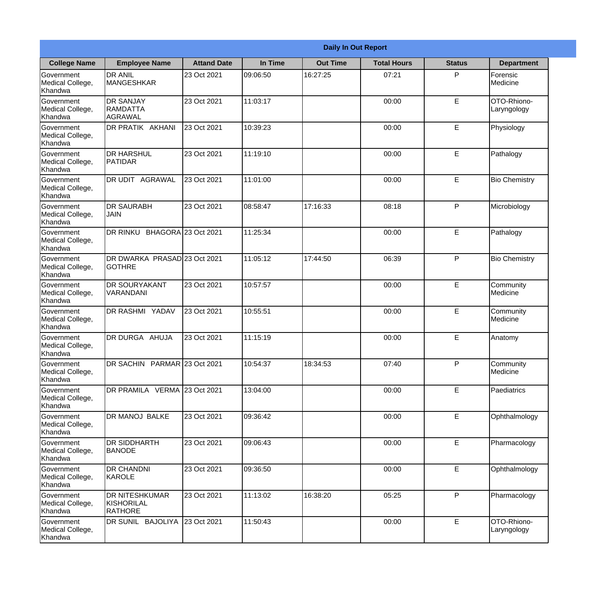|                                                  | <b>Daily In Out Report</b>                            |                    |          |                 |                    |               |                            |  |  |
|--------------------------------------------------|-------------------------------------------------------|--------------------|----------|-----------------|--------------------|---------------|----------------------------|--|--|
| <b>College Name</b>                              | <b>Employee Name</b>                                  | <b>Attand Date</b> | In Time  | <b>Out Time</b> | <b>Total Hours</b> | <b>Status</b> | <b>Department</b>          |  |  |
| Government<br>Medical College,<br>Khandwa        | <b>DR ANIL</b><br><b>MANGESHKAR</b>                   | 23 Oct 2021        | 09:06:50 | 16:27:25        | 07:21              | P             | Forensic<br>Medicine       |  |  |
| Government<br>Medical College,<br>Khandwa        | <b>DR SANJAY</b><br><b>RAMDATTA</b><br><b>AGRAWAL</b> | 23 Oct 2021        | 11:03:17 |                 | 00:00              | $\mathsf E$   | OTO-Rhiono-<br>Laryngology |  |  |
| <b>Government</b><br>Medical College,<br>Khandwa | <b>DR PRATIK AKHANI</b>                               | 23 Oct 2021        | 10:39:23 |                 | 00:00              | E             | Physiology                 |  |  |
| <b>Government</b><br>Medical College,<br>Khandwa | <b>DR HARSHUL</b><br>PATIDAR                          | 23 Oct 2021        | 11:19:10 |                 | 00:00              | E             | Pathalogy                  |  |  |
| Government<br>Medical College,<br>Khandwa        | <b>DR UDIT AGRAWAL</b>                                | 23 Oct 2021        | 11:01:00 |                 | 00:00              | E             | <b>Bio Chemistry</b>       |  |  |
| Government<br>Medical College,<br>Khandwa        | <b>IDR SAURABH</b><br><b>JAIN</b>                     | 23 Oct 2021        | 08:58:47 | 17:16:33        | 08:18              | P             | Microbiology               |  |  |
| <b>Government</b><br>Medical College,<br>Khandwa | DR RINKU BHAGORA 23 Oct 2021                          |                    | 11:25:34 |                 | 00:00              | E             | Pathalogy                  |  |  |
| <b>Government</b><br>Medical College,<br>Khandwa | DR DWARKA PRASAD 23 Oct 2021<br><b>GOTHRE</b>         |                    | 11:05:12 | 17:44:50        | 06:39              | P             | <b>Bio Chemistry</b>       |  |  |
| Government<br>Medical College,<br>Khandwa        | <b>DR SOURYAKANT</b><br>VARANDANI                     | 23 Oct 2021        | 10:57:57 |                 | 00:00              | E             | Community<br>Medicine      |  |  |
| Government<br>Medical College,<br>Khandwa        | DR RASHMI YADAV                                       | 23 Oct 2021        | 10:55:51 |                 | 00:00              | E             | Community<br>Medicine      |  |  |
| Government<br>Medical College,<br>Khandwa        | <b>IDR DURGA AHUJA</b>                                | 23 Oct 2021        | 11:15:19 |                 | 00:00              | E             | Anatomy                    |  |  |
| Government<br>Medical College,<br>Khandwa        | DR SACHIN PARMAR 23 Oct 2021                          |                    | 10:54:37 | 18:34:53        | 07:40              | P             | Community<br>Medicine      |  |  |
| <b>Government</b><br>Medical College,<br>Khandwa | DR PRAMILA VERMA 23 Oct 2021                          |                    | 13:04:00 |                 | 00:00              | E             | Paediatrics                |  |  |
| Government<br>Medical College,<br>Khandwa        | DR MANOJ BALKE                                        | 23 Oct 2021        | 09:36:42 |                 | 00:00              | $\mathsf E$   | Ophthalmology              |  |  |
| <b>Government</b><br>Medical College,<br>Khandwa | DR SIDDHARTH<br><b>BANODE</b>                         | 23 Oct 2021        | 09:06:43 |                 | 00:00              | E             | Pharmacology               |  |  |
| Government<br>Medical College,<br>Khandwa        | <b>DR CHANDNI</b><br>KAROLE                           | 23 Oct 2021        | 09:36:50 |                 | 00:00              | E             | Ophthalmology              |  |  |
| Government<br>Medical College,<br>Khandwa        | <b>DR NITESHKUMAR</b><br>KISHORILAL<br>RATHORE        | 23 Oct 2021        | 11:13:02 | 16:38:20        | 05:25              | P             | Pharmacology               |  |  |
| Government<br>Medical College,<br>Khandwa        | DR SUNIL BAJOLIYA 23 Oct 2021                         |                    | 11:50:43 |                 | 00:00              | $\mathsf E$   | OTO-Rhiono-<br>Laryngology |  |  |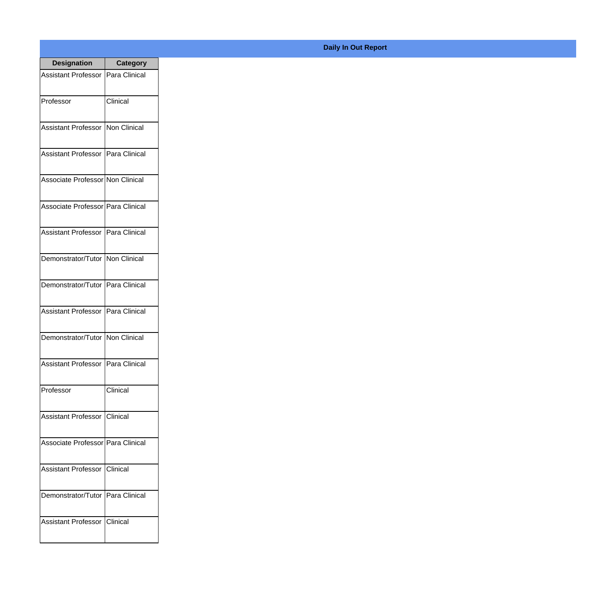| <b>Designation</b>                  | <b>Category</b> |
|-------------------------------------|-----------------|
| Assistant Professor   Para Clinical |                 |
| Professor                           | Clinical        |
| Assistant Professor   Non Clinical  |                 |
| Assistant Professor   Para Clinical |                 |
| Associate Professor Non Clinical    |                 |
| Associate Professor Para Clinical   |                 |
| Assistant Professor   Para Clinical |                 |
| Demonstrator/Tutor   Non Clinical   |                 |
| Demonstrator/Tutor   Para Clinical  |                 |
| Assistant Professor   Para Clinical |                 |
| Demonstrator/Tutor   Non Clinical   |                 |
| Assistant Professor   Para Clinical |                 |
| Professor                           | Clinical        |
| Assistant Professor   Clinical      |                 |
| Associate Professor Para Clinical   |                 |
| <b>Assistant Professor</b>          | <b>Clinical</b> |
| Demonstrator/Tutor   Para Clinical  |                 |
| Assistant Professor   Clinical      |                 |

## **Daily In Out Report**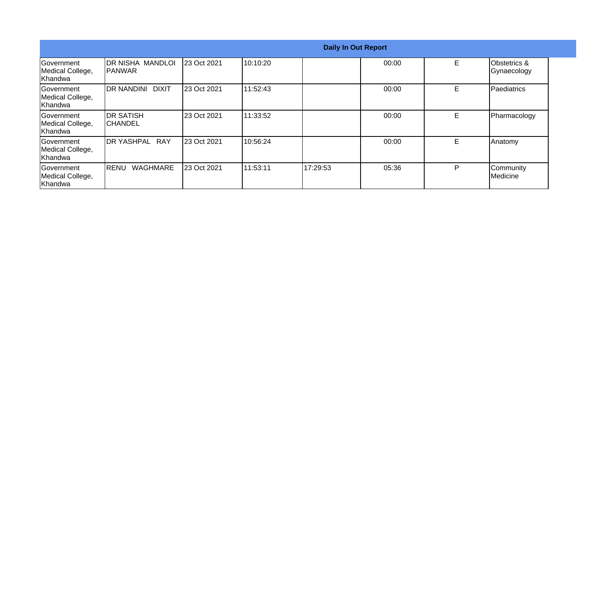|                                                   | <b>Daily In Out Report</b>           |             |           |          |       |    |                             |  |
|---------------------------------------------------|--------------------------------------|-------------|-----------|----------|-------|----|-----------------------------|--|
| Government<br>Medical College,<br>Khandwa         | IDR NISHA MANDLOI<br><b>IPANWAR</b>  | 23 Oct 2021 | 10:10:20  |          | 00:00 | E  | Obstetrics &<br>Gynaecology |  |
| Government<br>Medical College,<br>Khandwa         | <b>DR NANDINI</b><br>DIXIT           | 23 Oct 2021 | 11:52:43  |          | 00:00 | Е  | Paediatrics                 |  |
| <b>IGovernment</b><br>Medical College,<br>Khandwa | <b>IDR SATISH</b><br><b>ICHANDEL</b> | 23 Oct 2021 | 11:33:52  |          | 00:00 | Е  | Pharmacology                |  |
| Government<br>Medical College,<br>Khandwa         | <b>IDR YASHPAL RAY</b>               | 23 Oct 2021 | 10:56:24  |          | 00:00 | E. | Anatomy                     |  |
| Government<br>Medical College,<br>Khandwa         | <b>WAGHMARE</b><br><b>IRENU</b>      | 23 Oct 2021 | 111:53:11 | 17:29:53 | 05:36 | P  | Community<br>Medicine       |  |